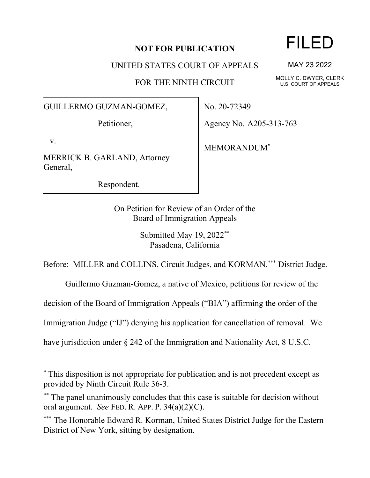## **NOT FOR PUBLICATION**

UNITED STATES COURT OF APPEALS

FOR THE NINTH CIRCUIT

GUILLERMO GUZMAN-GOMEZ,

Petitioner,

v.

MERRICK B. GARLAND, Attorney General,

Respondent.

No. 20-72349

Agency No. A205-313-763

MEMORANDUM\*

On Petition for Review of an Order of the Board of Immigration Appeals

> Submitted May 19, 2022\*\* Pasadena, California

Before: MILLER and COLLINS, Circuit Judges, and KORMAN,\*\*\* District Judge.

Guillermo Guzman-Gomez, a native of Mexico, petitions for review of the

decision of the Board of Immigration Appeals ("BIA") affirming the order of the

Immigration Judge ("IJ") denying his application for cancellation of removal. We

have jurisdiction under  $\S 242$  of the Immigration and Nationality Act, 8 U.S.C.

## FILED

MAY 23 2022

MOLLY C. DWYER, CLERK U.S. COURT OF APPEALS

<sup>\*</sup> This disposition is not appropriate for publication and is not precedent except as provided by Ninth Circuit Rule 36-3.

<sup>\*\*</sup> The panel unanimously concludes that this case is suitable for decision without oral argument. *See* FED. R. APP. P. 34(a)(2)(C).

<sup>\*\*\*</sup> The Honorable Edward R. Korman, United States District Judge for the Eastern District of New York, sitting by designation.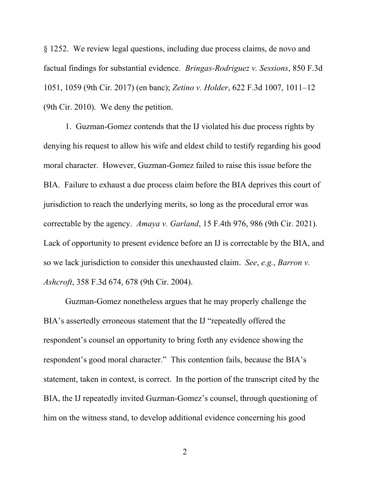§ 1252. We review legal questions, including due process claims, de novo and factual findings for substantial evidence. *Bringas-Rodriguez v. Sessions*, 850 F.3d 1051, 1059 (9th Cir. 2017) (en banc); *Zetino v. Holder*, 622 F.3d 1007, 1011–12 (9th Cir. 2010). We deny the petition.

1. Guzman-Gomez contends that the IJ violated his due process rights by denying his request to allow his wife and eldest child to testify regarding his good moral character. However, Guzman-Gomez failed to raise this issue before the BIA. Failure to exhaust a due process claim before the BIA deprives this court of jurisdiction to reach the underlying merits, so long as the procedural error was correctable by the agency. *Amaya v. Garland*, 15 F.4th 976, 986 (9th Cir. 2021). Lack of opportunity to present evidence before an IJ is correctable by the BIA, and so we lack jurisdiction to consider this unexhausted claim. *See*, *e.g.*, *Barron v. Ashcroft*, 358 F.3d 674, 678 (9th Cir. 2004).

Guzman-Gomez nonetheless argues that he may properly challenge the BIA's assertedly erroneous statement that the IJ "repeatedly offered the respondent's counsel an opportunity to bring forth any evidence showing the respondent's good moral character." This contention fails, because the BIA's statement, taken in context, is correct. In the portion of the transcript cited by the BIA, the IJ repeatedly invited Guzman-Gomez's counsel, through questioning of him on the witness stand, to develop additional evidence concerning his good

2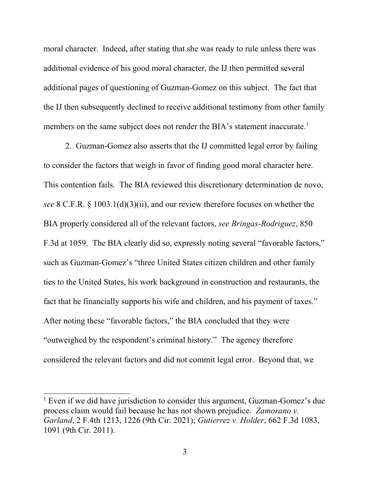moral character. Indeed, after stating that she was ready to rule unless there was additional evidence of his good moral character, the IJ then permitted several additional pages of questioning of Guzman-Gomez on this subject. The fact that the IJ then subsequently declined to receive additional testimony from other family members on the same subject does not render the BIA's statement inaccurate.<sup>1</sup>

2. Guzman-Gomez also asserts that the IJ committed legal error by failing to consider the factors that weigh in favor of finding good moral character here. This contention fails. The BIA reviewed this discretionary determination de novo, *see* 8 C.F.R. § 1003.1(d)(3)(ii), and our review therefore focuses on whether the BIA properly considered all of the relevant factors, *see Bringas-Rodriguez*, 850 F.3d at 1059. The BIA clearly did so, expressly noting several "favorable factors," such as Guzman-Gomez's "three United States citizen children and other family ties to the United States, his work background in construction and restaurants, the fact that he financially supports his wife and children, and his payment of taxes." After noting these "favorable factors," the BIA concluded that they were "outweighed by the respondent's criminal history." The agency therefore considered the relevant factors and did not commit legal error. Beyond that, we

<sup>&</sup>lt;sup>1</sup> Even if we did have jurisdiction to consider this argument, Guzman-Gomez's due process claim would fail because he has not shown prejudice. *Zamorano v. Garland*, 2 F.4th 1213, 1226 (9th Cir. 2021); *Gutierrez v. Holder*, 662 F.3d 1083, 1091 (9th Cir. 2011).